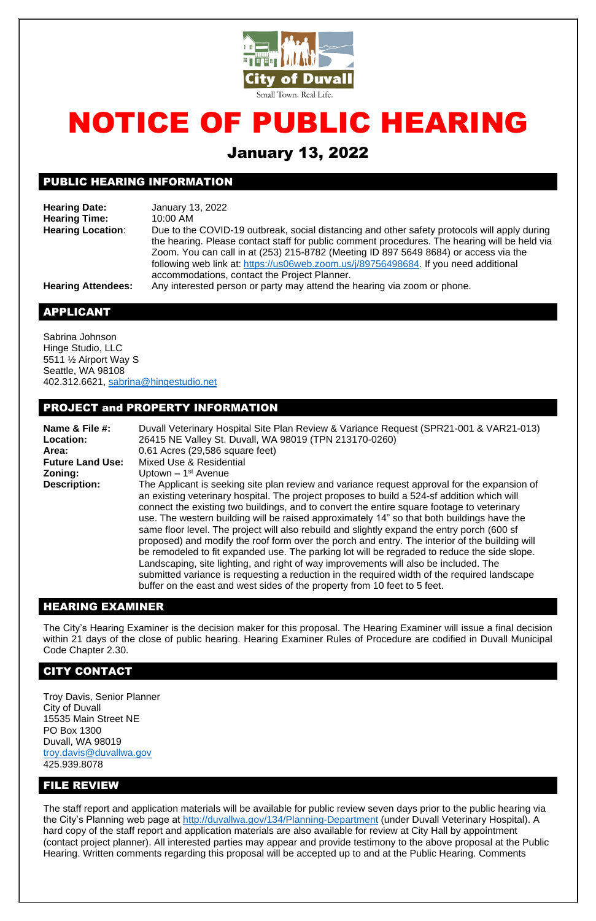

# NOTICE OF PUBLIC HEARING

# January 13, 2022

#### PUBLIC HEARING INFORMATION

**Hearing Date:** January 13, 2022 **Hearing Time:** 10:00 AM **Hearing Location**: Due to the COVID-19 outbreak, social distancing and other safety protocols will apply during the hearing. Please contact staff for public comment procedures. The hearing will be held via Zoom. You can call in at (253) 215-8782 (Meeting ID 897 5649 8684) or access via the following web link at: [https://us06web.zoom.us/j/89756498684.](https://us06web.zoom.us/j/89756498684) If you need additional accommodations, contact the Project Planner.

**Hearing Attendees:** Any interested person or party may attend the hearing via zoom or phone.

#### APPLICANT

Sabrina Johnson Hinge Studio, LLC 5511 ½ Airport Way S Seattle, WA 98108 402.312.6621, [sabrina@hingestudio.net](mailto:sabrina@hingestudio.net)

#### PROJECT and PROPERTY INFORMATION

| Name & File #:          | Duvall Veterinary Hospital Site Plan Review & Variance Request (SPR21-001 & VAR21-013)                                                                                                                                                                                                                                                                                                                                                                                                                                                                                                                                                                                                                                                                                                                                                                        |
|-------------------------|---------------------------------------------------------------------------------------------------------------------------------------------------------------------------------------------------------------------------------------------------------------------------------------------------------------------------------------------------------------------------------------------------------------------------------------------------------------------------------------------------------------------------------------------------------------------------------------------------------------------------------------------------------------------------------------------------------------------------------------------------------------------------------------------------------------------------------------------------------------|
| Location:               | 26415 NE Valley St. Duvall, WA 98019 (TPN 213170-0260)                                                                                                                                                                                                                                                                                                                                                                                                                                                                                                                                                                                                                                                                                                                                                                                                        |
| Area:                   | 0.61 Acres (29,586 square feet)                                                                                                                                                                                                                                                                                                                                                                                                                                                                                                                                                                                                                                                                                                                                                                                                                               |
| <b>Future Land Use:</b> | Mixed Use & Residential                                                                                                                                                                                                                                                                                                                                                                                                                                                                                                                                                                                                                                                                                                                                                                                                                                       |
| Zoning:                 | Uptown $-1st$ Avenue                                                                                                                                                                                                                                                                                                                                                                                                                                                                                                                                                                                                                                                                                                                                                                                                                                          |
| <b>Description:</b>     | The Applicant is seeking site plan review and variance request approval for the expansion of                                                                                                                                                                                                                                                                                                                                                                                                                                                                                                                                                                                                                                                                                                                                                                  |
|                         | an existing veterinary hospital. The project proposes to build a 524-sf addition which will<br>connect the existing two buildings, and to convert the entire square footage to veterinary<br>use. The western building will be raised approximately 14" so that both buildings have the<br>same floor level. The project will also rebuild and slightly expand the entry porch (600 sf<br>proposed) and modify the roof form over the porch and entry. The interior of the building will<br>be remodeled to fit expanded use. The parking lot will be regraded to reduce the side slope.<br>Landscaping, site lighting, and right of way improvements will also be included. The<br>submitted variance is requesting a reduction in the required width of the required landscape<br>buffer on the east and west sides of the property from 10 feet to 5 feet. |

## HEARING EXAMINER

The City's Hearing Examiner is the decision maker for this proposal. The Hearing Examiner will issue a final decision within 21 days of the close of public hearing. Hearing Examiner Rules of Procedure are codified in Duvall Municipal Code Chapter 2.30.

#### CITY CONTACT

Troy Davis, Senior Planner City of Duvall 15535 Main Street NE PO Box 1300 Duvall, WA 98019 [troy.davis@duvallwa.gov](mailto:troy.davis@duvallwa.gov) 425.939.8078

#### FILE REVIEW

The staff report and application materials will be available for public review seven days prior to the public hearing via the City's Planning web page at<http://duvallwa.gov/134/Planning-Department> (under Duvall Veterinary Hospital). A hard copy of the staff report and application materials are also available for review at City Hall by appointment (contact project planner). All interested parties may appear and provide testimony to the above proposal at the Public Hearing. Written comments regarding this proposal will be accepted up to and at the Public Hearing. Comments